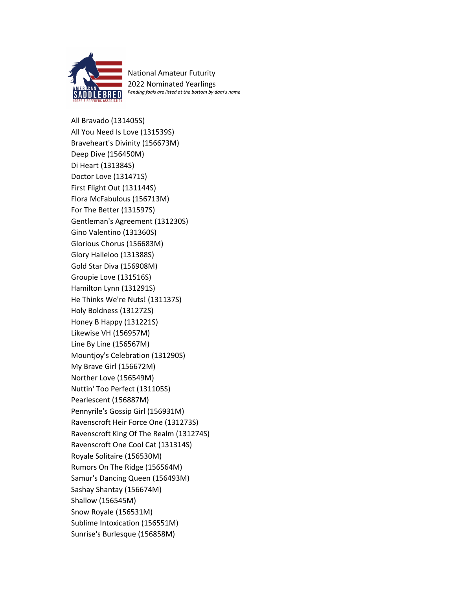

National Amateur Futurity 2022 Nominated Yearlings *Pending foals are listed at the bottom by dam's name*

All Bravado (131405S) All You Need Is Love (131539S) Braveheart's Divinity (156673M) Deep Dive (156450M) Di Heart (131384S) Doctor Love (131471S) First Flight Out (131144S) Flora McFabulous (156713M) For The Better (131597S) Gentleman's Agreement (131230S) Gino Valentino (131360S) Glorious Chorus (156683M) Glory Halleloo (131388S) Gold Star Diva (156908M) Groupie Love (131516S) Hamilton Lynn (131291S) He Thinks We're Nuts! (131137S) Holy Boldness (131272S) Honey B Happy (131221S) Likewise VH (156957M) Line By Line (156567M) Mountjoy's Celebration (131290S) My Brave Girl (156672M) Norther Love (156549M) Nuttin' Too Perfect (131105S) Pearlescent (156887M) Pennyrile's Gossip Girl (156931M) Ravenscroft Heir Force One (131273S) Ravenscroft King Of The Realm (131274S) Ravenscroft One Cool Cat (131314S) Royale Solitaire (156530M) Rumors On The Ridge (156564M) Samur's Dancing Queen (156493M) Sashay Shantay (156674M) Shallow (156545M) Snow Royale (156531M) Sublime Intoxication (156551M) Sunrise's Burlesque (156858M)